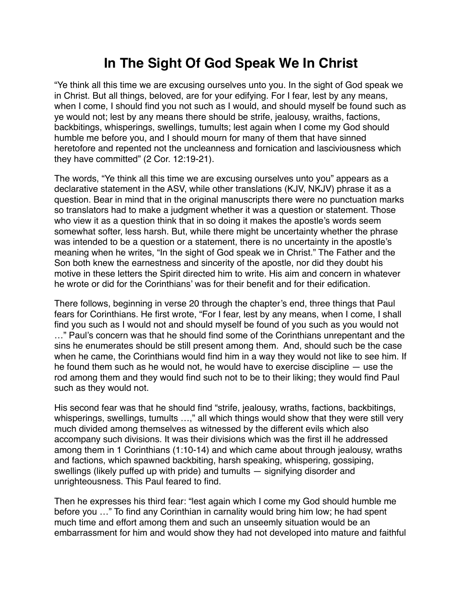## **In The Sight Of God Speak We In Christ**

"Ye think all this time we are excusing ourselves unto you. In the sight of God speak we in Christ. But all things, beloved, are for your edifying. For I fear, lest by any means, when I come, I should find you not such as I would, and should myself be found such as ye would not; lest by any means there should be strife, jealousy, wraiths, factions, backbitings, whisperings, swellings, tumults; lest again when I come my God should humble me before you, and I should mourn for many of them that have sinned heretofore and repented not the uncleanness and fornication and lasciviousness which they have committed" (2 Cor. 12:19-21).

The words, "Ye think all this time we are excusing ourselves unto you" appears as a declarative statement in the ASV, while other translations (KJV, NKJV) phrase it as a question. Bear in mind that in the original manuscripts there were no punctuation marks so translators had to make a judgment whether it was a question or statement. Those who view it as a question think that in so doing it makes the apostle's words seem somewhat softer, less harsh. But, while there might be uncertainty whether the phrase was intended to be a question or a statement, there is no uncertainty in the apostle's meaning when he writes, "In the sight of God speak we in Christ." The Father and the Son both knew the earnestness and sincerity of the apostle, nor did they doubt his motive in these letters the Spirit directed him to write. His aim and concern in whatever he wrote or did for the Corinthians' was for their benefit and for their edification.

There follows, beginning in verse 20 through the chapter's end, three things that Paul fears for Corinthians. He first wrote, "For I fear, lest by any means, when I come, I shall find you such as I would not and should myself be found of you such as you would not …" Paul's concern was that he should find some of the Corinthians unrepentant and the sins he enumerates should be still present among them. And, should such be the case when he came, the Corinthians would find him in a way they would not like to see him. If he found them such as he would not, he would have to exercise discipline — use the rod among them and they would find such not to be to their liking; they would find Paul such as they would not.

His second fear was that he should find "strife, jealousy, wraths, factions, backbitings, whisperings, swellings, tumults ...," all which things would show that they were still very much divided among themselves as witnessed by the different evils which also accompany such divisions. It was their divisions which was the first ill he addressed among them in 1 Corinthians (1:10-14) and which came about through jealousy, wraths and factions, which spawned backbiting, harsh speaking, whispering, gossiping, swellings (likely puffed up with pride) and tumults — signifying disorder and unrighteousness. This Paul feared to find.

Then he expresses his third fear: "lest again which I come my God should humble me before you …" To find any Corinthian in carnality would bring him low; he had spent much time and effort among them and such an unseemly situation would be an embarrassment for him and would show they had not developed into mature and faithful